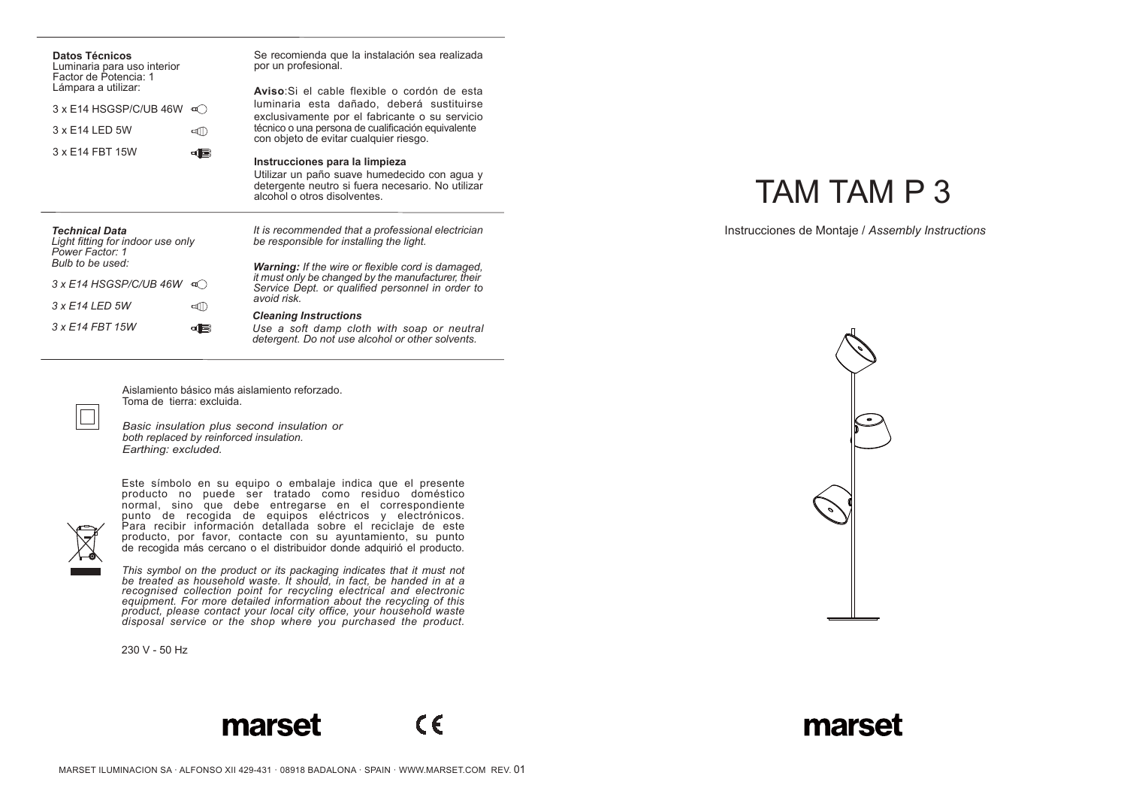| <b>Datos Técnicos</b><br>Luminaria para uso interior<br>Factor de Potencia: 1<br>Lámpara a utilizar:<br>3 x E14 HSGSP/C/UB 46W<br>$\mathfrak{a}$ )<br>3 x E14 LED 5W<br>ৰাী<br>3 x E14 FBT 15W<br>46 | Se recomienda que la instalación sea realizada<br>por un profesional.<br>Aviso Si el cable flexible o cordón de esta<br>luminaria esta dañado, deberá sustituirse<br>exclusivamente por el fabricante o su servicio<br>técnico o una persona de cualificación equivalente<br>con objeto de evitar cualquier riesgo.<br>Instrucciones para la limpieza<br>Utilizar un paño suave humedecido con agua y<br>detergente neutro si fuera necesario. No utilizar<br>alcohol o otros disolventes. |
|------------------------------------------------------------------------------------------------------------------------------------------------------------------------------------------------------|--------------------------------------------------------------------------------------------------------------------------------------------------------------------------------------------------------------------------------------------------------------------------------------------------------------------------------------------------------------------------------------------------------------------------------------------------------------------------------------------|
| <b>Technical Data</b><br>Light fitting for indoor use only<br>Power Factor: 1<br>Bulb to be used:<br>3 x E14 HSGSP/C/UB 46W<br>$\mathbf{u}$ )                                                        | It is recommended that a professional electrician<br>be responsible for installing the light.<br><b>Warning:</b> If the wire or flexible cord is damaged.<br>it must only be changed by the manufacturer, their<br>Service Dept. or qualified personnel in order to                                                                                                                                                                                                                        |
| 3 x E14 LED 5W<br><b>ৰ্ব</b> ll)<br>3 x F14 FBT 15W<br>d(⊫)                                                                                                                                          | avoid risk<br><b>Cleaning Instructions</b><br>Use a soft damp cloth with soap or neutral<br>detergent. Do not use alcohol or other solvents.                                                                                                                                                                                                                                                                                                                                               |

Aislamiento básico más aislamiento reforzado. Toma de tierra: excluida.

*Basic insulation plus second insulation or both replaced by reinforced insulation. Earthing: excluded.*



 $\Box$ 

Este símbolo en su equipo o embalaje indica que el presente producto no puede ser tratado como residuo doméstico normal, sino que debe entregarse en el correspondiente punto de recogida de equipos eléctricos y electrónicos. Para recibir información detallada sobre el reciclaje de este producto, por favor, contacte con su ayuntamiento, su punto de recogida más cercano o el distribuidor donde adquirió el producto.

*This symbol on the product or its packaging indicates that it must not*  be treated as household waste. It should, in fact, be handed in at a<br>recognised collection point for recycling electrical and electronic<br>equipment. For more detailed information about the recycling of this *product, please contact your local city office, your household waste disposal service or the shop where you purchased the product.*

230 V - 50 Hz

## TAM TAM P 3

Instrucciones de Montaje / *Assembly Instructions*